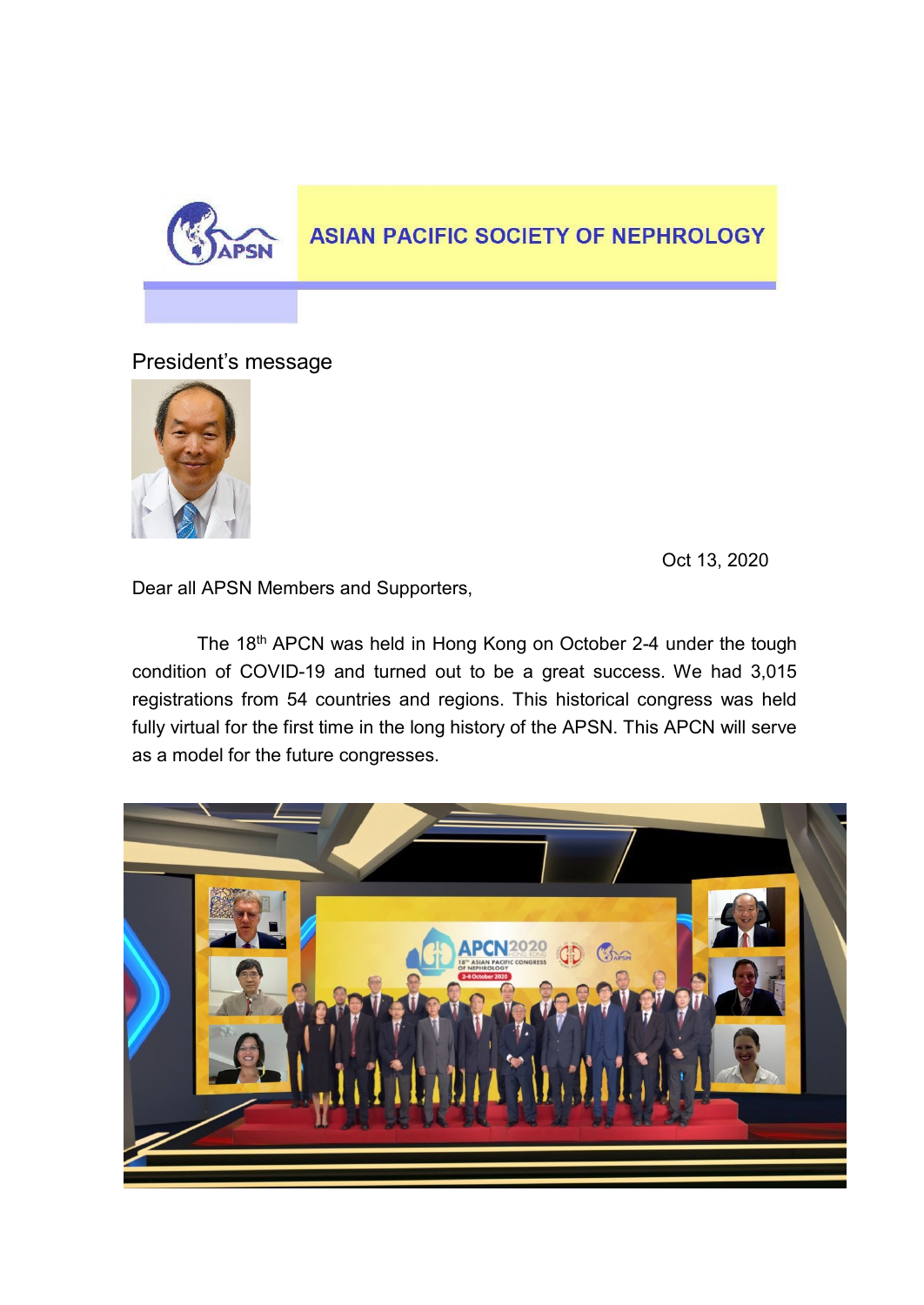

## **ASIAN PACIFIC SOCIETY OF NEPHROLOGY**

President's message



Oct 13, 2020

Dear all APSN Members and Supporters,

The 18<sup>th</sup> APCN was held in Hong Kong on October 2-4 under the tough condition of COVID-19 and turned out to be a great success. We had 3,015 registrations from 54 countries and regions. This historical congress was held fully virtual for the first time in the long history of the APSN. This APCN will serve as a model for the future congresses.

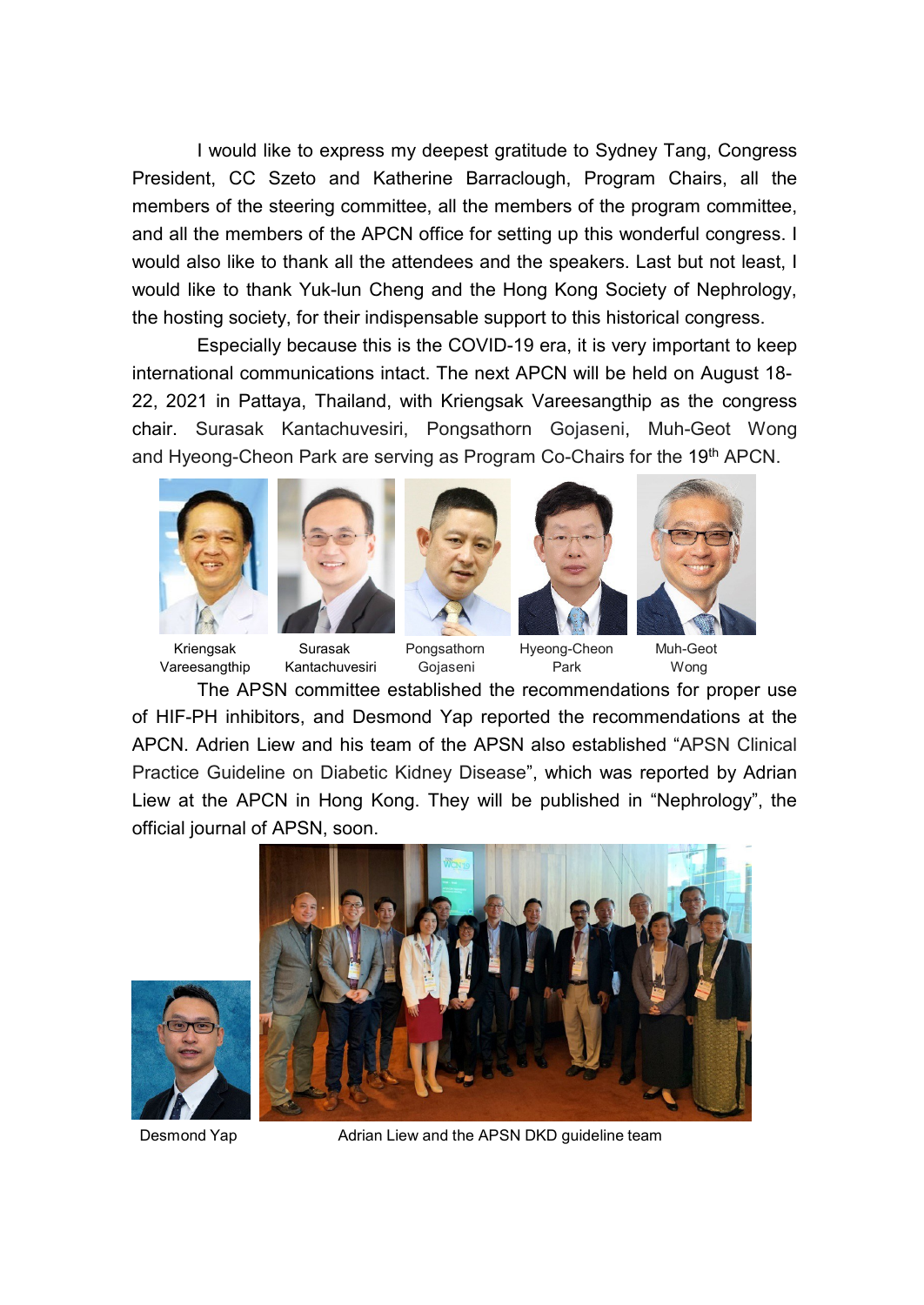I would like to express my deepest gratitude to Sydney Tang, Congress President, CC Szeto and Katherine Barraclough, Program Chairs, all the members of the steering committee, all the members of the program committee, and all the members of the APCN office for setting up this wonderful congress. I would also like to thank all the attendees and the speakers. Last but not least, I would like to thank Yuk-lun Cheng and the Hong Kong Society of Nephrology, the hosting society, for their indispensable support to this historical congress.

Especially because this is the COVID-19 era, it is very important to keep international communications intact. The next APCN will be held on August 18- 22, 2021 in Pattaya, Thailand, with Kriengsak Vareesangthip as the congress chair. Surasak Kantachuvesiri, Pongsathorn Gojaseni, Muh-Geot Wong and Hyeong-Cheon Park are serving as Program Co-Chairs for the 19<sup>th</sup> APCN.











Vareesangthip Kantachuvesiri Gojaseni Park Wong

Kriengsak Surasak Pongsathorn Hyeong-Cheon Muh-Geot

The APSN committee established the recommendations for proper use of HIF-PH inhibitors, and Desmond Yap reported the recommendations at the APCN. Adrien Liew and his team of the APSN also established "APSN Clinical Practice Guideline on Diabetic Kidney Disease", which was reported by Adrian Liew at the APCN in Hong Kong. They will be published in "Nephrology", the official journal of APSN, soon.





Desmond Yap **Adrian Liew and the APSN DKD** quideline team